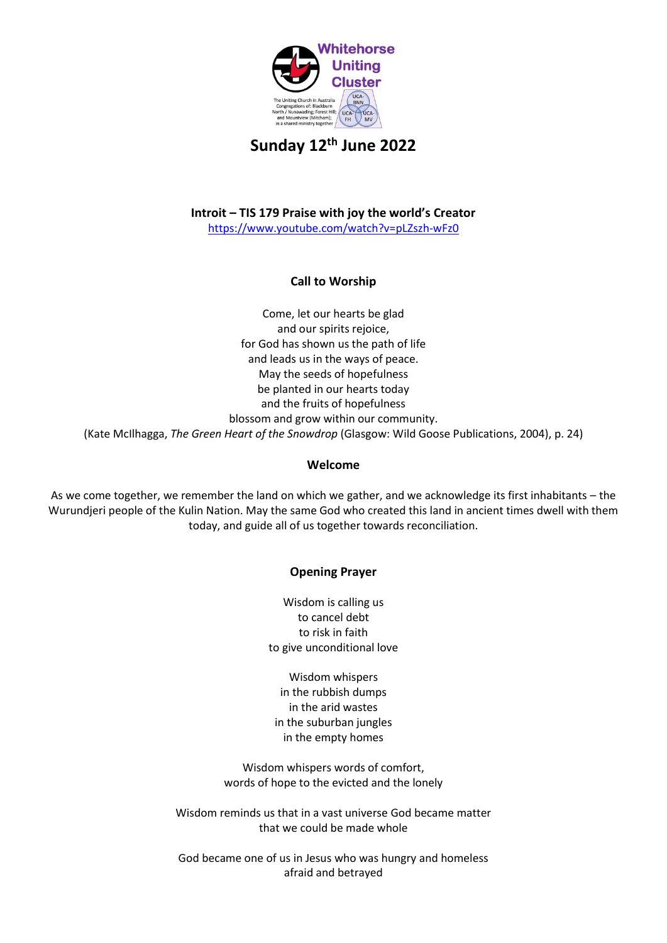

# **Sunday 12th June 2022**

**Introit – TIS 179 Praise with joy the world's Creator** <https://www.youtube.com/watch?v=pLZszh-wFz0>

# **Call to Worship**

Come, let our hearts be glad and our spirits rejoice, for God has shown us the path of life and leads us in the ways of peace. May the seeds of hopefulness be planted in our hearts today and the fruits of hopefulness blossom and grow within our community. (Kate McIlhagga, *The Green Heart of the Snowdrop* (Glasgow: Wild Goose Publications, 2004), p. 24)

#### **Welcome**

As we come together, we remember the land on which we gather, and we acknowledge its first inhabitants – the Wurundjeri people of the Kulin Nation. May the same God who created this land in ancient times dwell with them today, and guide all of us together towards reconciliation.

### **Opening Prayer**

Wisdom is calling us to cancel debt to risk in faith to give unconditional love

Wisdom whispers in the rubbish dumps in the arid wastes in the suburban jungles in the empty homes

Wisdom whispers words of comfort, words of hope to the evicted and the lonely

Wisdom reminds us that in a vast universe God became matter that we could be made whole

God became one of us in Jesus who was hungry and homeless afraid and betrayed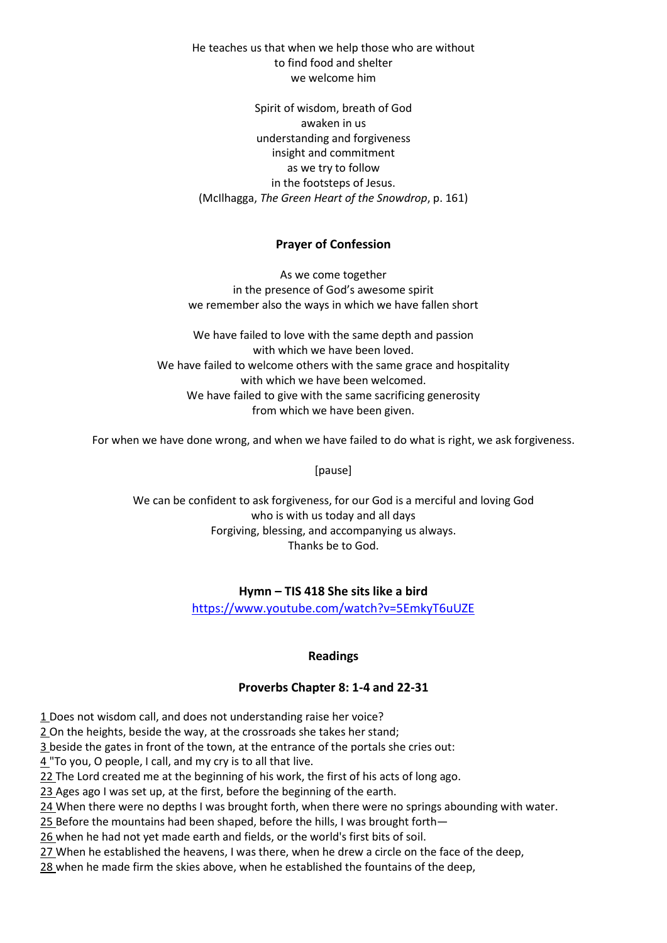He teaches us that when we help those who are without to find food and shelter we welcome him

Spirit of wisdom, breath of God awaken in us understanding and forgiveness insight and commitment as we try to follow in the footsteps of Jesus. (McIlhagga, *The Green Heart of the Snowdrop*, p. 161)

### **Prayer of Confession**

As we come together in the presence of God's awesome spirit we remember also the ways in which we have fallen short

We have failed to love with the same depth and passion with which we have been loved. We have failed to welcome others with the same grace and hospitality with which we have been welcomed. We have failed to give with the same sacrificing generosity from which we have been given.

For when we have done wrong, and when we have failed to do what is right, we ask forgiveness.

[pause]

We can be confident to ask forgiveness, for our God is a merciful and loving God who is with us today and all days Forgiving, blessing, and accompanying us always. Thanks be to God.

**Hymn – TIS 418 She sits like a bird**

<https://www.youtube.com/watch?v=5EmkyT6uUZE>

#### **Readings**

#### **Proverbs Chapter 8: 1-4 and 22-31**

[1 D](https://www.biblestudytools.com/nrs/proverbs/8-1.html)oes not wisdom call, and does not understanding raise her voice?

[2 O](https://www.biblestudytools.com/nrs/proverbs/8-2.html)n the heights, beside the way, at the crossroads she takes her stand;

[3 b](https://www.biblestudytools.com/nrs/proverbs/8-3.html)eside the gates in front of the town, at the entrance of the portals she cries out:

[4 "](https://www.biblestudytools.com/nrs/proverbs/8-4.html)To you, O people, I call, and my cry is to all that live.

[22 T](https://www.biblestudytools.com/nrs/proverbs/8-22.html)he Lord created me at the beginning of his work, the first of his acts of long ago.

[23 A](https://www.biblestudytools.com/nrs/proverbs/8-23.html)ges ago I was set up, at the first, before the beginning of the earth.

[24 W](https://www.biblestudytools.com/nrs/proverbs/8-24.html)hen there were no depths I was brought forth, when there were no springs abounding with water.

[25 B](https://www.biblestudytools.com/nrs/proverbs/8-25.html)efore the mountains had been shaped, before the hills, I was brought forth—

[26 w](https://www.biblestudytools.com/nrs/proverbs/8-26.html)hen he had not yet made earth and fields, or the world's first bits of soil.

[27 W](https://www.biblestudytools.com/nrs/proverbs/8-27.html)hen he established the heavens, I was there, when he drew a circle on the face of the deep,

[28 w](https://www.biblestudytools.com/nrs/proverbs/8-28.html)hen he made firm the skies above, when he established the fountains of the deep,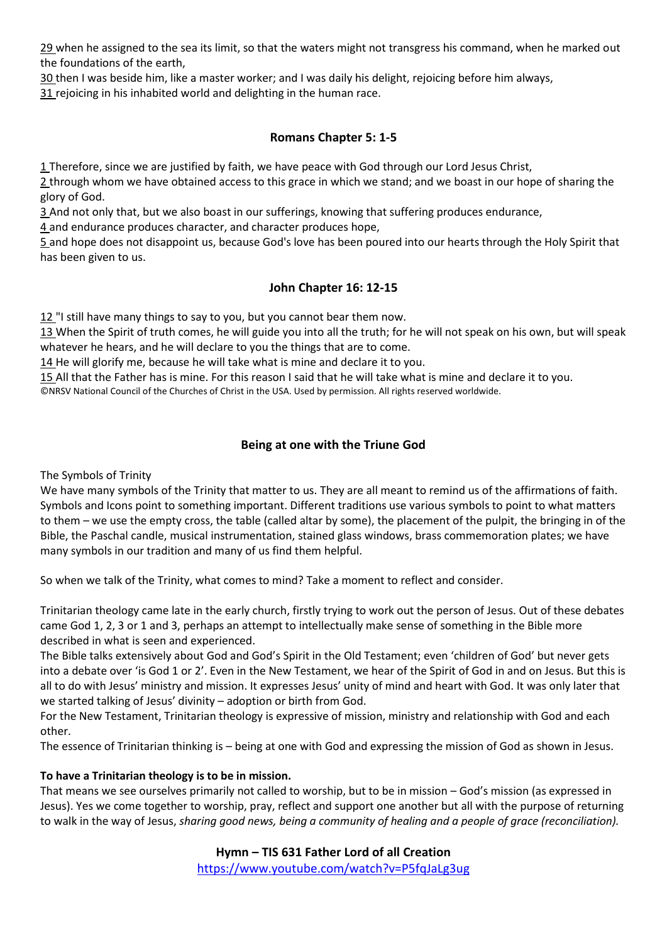[29 w](https://www.biblestudytools.com/nrs/proverbs/8-29.html)hen he assigned to the sea its limit, so that the waters might not transgress his command, when he marked out the foundations of the earth,

[30 t](https://www.biblestudytools.com/nrs/proverbs/8-30.html)hen I was beside him, like a master worker; and I was daily his delight, rejoicing before him always,

[31 r](https://www.biblestudytools.com/nrs/proverbs/8-31.html)ejoicing in his inhabited world and delighting in the human race.

## **Romans Chapter 5: 1-5**

[1 T](https://www.biblestudytools.com/nrs/romans/5-1.html)herefore, since we are justified by faith, we have peace with God through our Lord Jesus Christ,

[2 t](https://www.biblestudytools.com/nrs/romans/5-2.html)hrough whom we have obtained access to this grace in which we stand; and we boast in our hope of sharing the glory of God.

[3 A](https://www.biblestudytools.com/nrs/romans/5-3.html)nd not only that, but we also boast in our sufferings, knowing that suffering produces endurance,

[4 a](https://www.biblestudytools.com/nrs/romans/5-4.html)nd endurance produces character, and character produces hope,

[5 a](https://www.biblestudytools.com/nrs/romans/5-5.html)nd hope does not disappoint us, because God's love has been poured into our hearts through the Holy Spirit that has been given to us.

# **John Chapter 16: 12-15**

[12 "](https://www.biblestudytools.com/nrs/john/16-12.html)I still have many things to say to you, but you cannot bear them now.

[13 W](https://www.biblestudytools.com/nrs/john/16-13.html)hen the Spirit of truth comes, he will guide you into all the truth; for he will not speak on his own, but will speak whatever he hears, and he will declare to you the things that are to come.

[14 H](https://www.biblestudytools.com/nrs/john/16-14.html)e will glorify me, because he will take what is mine and declare it to you.

[15 A](https://www.biblestudytools.com/nrs/john/16-15.html)ll that the Father has is mine. For this reason I said that he will take what is mine and declare it to you.

©NRSV National Council of the Churches of Christ in the USA. Used by permission. All rights reserved worldwide.

### **Being at one with the Triune God**

The Symbols of Trinity

We have many symbols of the Trinity that matter to us. They are all meant to remind us of the affirmations of faith. Symbols and Icons point to something important. Different traditions use various symbols to point to what matters to them – we use the empty cross, the table (called altar by some), the placement of the pulpit, the bringing in of the Bible, the Paschal candle, musical instrumentation, stained glass windows, brass commemoration plates; we have many symbols in our tradition and many of us find them helpful.

So when we talk of the Trinity, what comes to mind? Take a moment to reflect and consider.

Trinitarian theology came late in the early church, firstly trying to work out the person of Jesus. Out of these debates came God 1, 2, 3 or 1 and 3, perhaps an attempt to intellectually make sense of something in the Bible more described in what is seen and experienced.

The Bible talks extensively about God and God's Spirit in the Old Testament; even 'children of God' but never gets into a debate over 'is God 1 or 2'. Even in the New Testament, we hear of the Spirit of God in and on Jesus. But this is all to do with Jesus' ministry and mission. It expresses Jesus' unity of mind and heart with God. It was only later that we started talking of Jesus' divinity – adoption or birth from God.

For the New Testament, Trinitarian theology is expressive of mission, ministry and relationship with God and each other.

The essence of Trinitarian thinking is – being at one with God and expressing the mission of God as shown in Jesus.

#### **To have a Trinitarian theology is to be in mission.**

That means we see ourselves primarily not called to worship, but to be in mission – God's mission (as expressed in Jesus). Yes we come together to worship, pray, reflect and support one another but all with the purpose of returning to walk in the way of Jesus, *sharing good news, being a community of healing and a people of grace (reconciliation).*

**Hymn – TIS 631 Father Lord of all Creation**

<https://www.youtube.com/watch?v=P5fqJaLg3ug>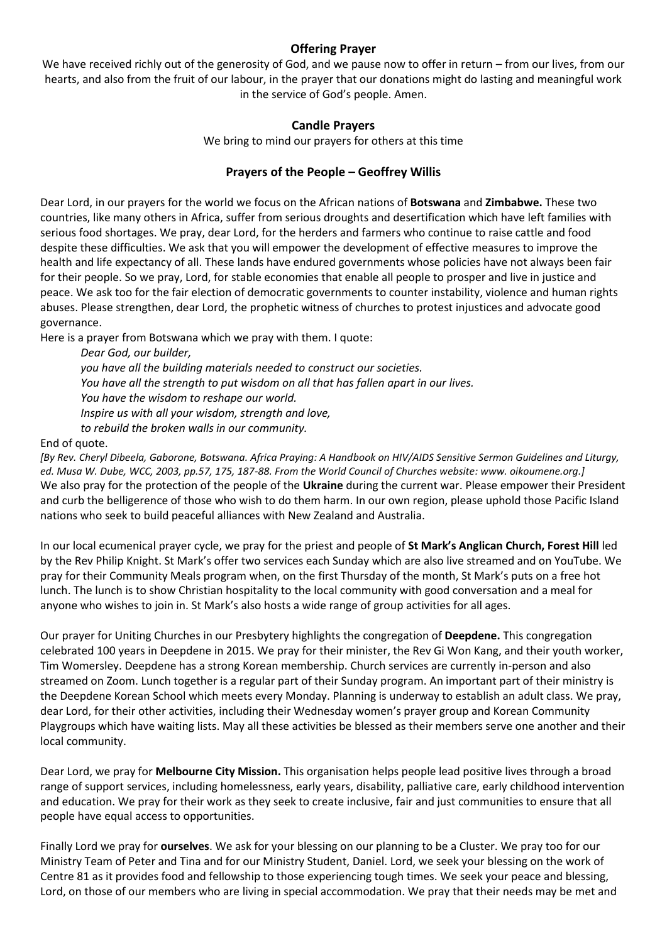#### **Offering Prayer**

We have received richly out of the generosity of God, and we pause now to offer in return – from our lives, from our hearts, and also from the fruit of our labour, in the prayer that our donations might do lasting and meaningful work in the service of God's people. Amen.

### **Candle Prayers**

We bring to mind our prayers for others at this time

### **Prayers of the People – Geoffrey Willis**

Dear Lord, in our prayers for the world we focus on the African nations of **Botswana** and **Zimbabwe.** These two countries, like many others in Africa, suffer from serious droughts and desertification which have left families with serious food shortages. We pray, dear Lord, for the herders and farmers who continue to raise cattle and food despite these difficulties. We ask that you will empower the development of effective measures to improve the health and life expectancy of all. These lands have endured governments whose policies have not always been fair for their people. So we pray, Lord, for stable economies that enable all people to prosper and live in justice and peace. We ask too for the fair election of democratic governments to counter instability, violence and human rights abuses. Please strengthen, dear Lord, the prophetic witness of churches to protest injustices and advocate good governance.

Here is a prayer from Botswana which we pray with them. I quote:

*Dear God, our builder, you have all the building materials needed to construct our societies. You have all the strength to put wisdom on all that has fallen apart in our lives. You have the wisdom to reshape our world. Inspire us with all your wisdom, strength and love, to rebuild the broken walls in our community.*

End of quote.

*[By Rev. Cheryl Dibeela, Gaborone, Botswana. Africa Praying: A Handbook on HIV/AIDS Sensitive Sermon Guidelines and Liturgy, ed. Musa W. Dube, WCC, 2003, pp.57, 175, 187-88. From the World Council of Churches website: www. oikoumene.org.]* We also pray for the protection of the people of the **Ukraine** during the current war. Please empower their President and curb the belligerence of those who wish to do them harm. In our own region, please uphold those Pacific Island nations who seek to build peaceful alliances with New Zealand and Australia.

In our local ecumenical prayer cycle, we pray for the priest and people of **St Mark's Anglican Church, Forest Hill** led by the Rev Philip Knight. St Mark's offer two services each Sunday which are also live streamed and on YouTube. We pray for their Community Meals program when, on the first Thursday of the month, St Mark's puts on a free hot lunch. The lunch is to show Christian hospitality to the local community with good conversation and a meal for anyone who wishes to join in. St Mark's also hosts a wide range of group activities for all ages.

Our prayer for Uniting Churches in our Presbytery highlights the congregation of **Deepdene.** This congregation celebrated 100 years in Deepdene in 2015. We pray for their minister, the Rev Gi Won Kang, and their youth worker, Tim Womersley. Deepdene has a strong Korean membership. Church services are currently in-person and also streamed on Zoom. Lunch together is a regular part of their Sunday program. An important part of their ministry is the Deepdene Korean School which meets every Monday. Planning is underway to establish an adult class. We pray, dear Lord, for their other activities, including their Wednesday women's prayer group and Korean Community Playgroups which have waiting lists. May all these activities be blessed as their members serve one another and their local community.

Dear Lord, we pray for **Melbourne City Mission.** This organisation helps people lead positive lives through a broad range of support services, including homelessness, early years, disability, palliative care, early childhood intervention and education. We pray for their work as they seek to create inclusive, fair and just communities to ensure that all people have equal access to opportunities.

Finally Lord we pray for **ourselves**. We ask for your blessing on our planning to be a Cluster. We pray too for our Ministry Team of Peter and Tina and for our Ministry Student, Daniel. Lord, we seek your blessing on the work of Centre 81 as it provides food and fellowship to those experiencing tough times. We seek your peace and blessing, Lord, on those of our members who are living in special accommodation. We pray that their needs may be met and